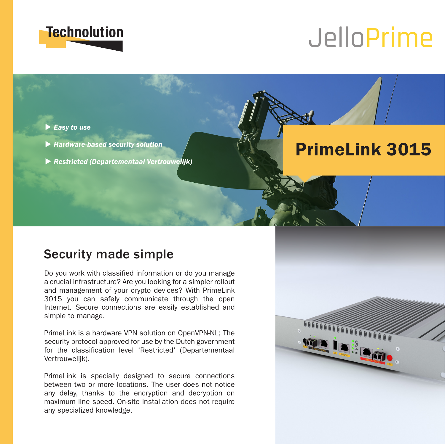

# JelloPrime

PrimeLink 3015

#### **Easy to use**

- u *Hardware-based security solution*
- u *Restricted (Departementaal Vertrouwelijk)*

## Security made simple

Do you work with classified information or do you manage a crucial infrastructure? Are you looking for a simpler rollout and management of your crypto devices? With PrimeLink 3015 you can safely communicate through the open Internet. Secure connections are easily established and simple to manage.

PrimeLink is a hardware VPN solution on OpenVPN-NL; The security protocol approved for use by the Dutch government for the classification level 'Restricted' (Departementaal Vertrouwelijk).

PrimeLink is specially designed to secure connections between two or more locations. The user does not notice any delay, thanks to the encryption and decryption on maximum line speed. On-site installation does not require any specialized knowledge.